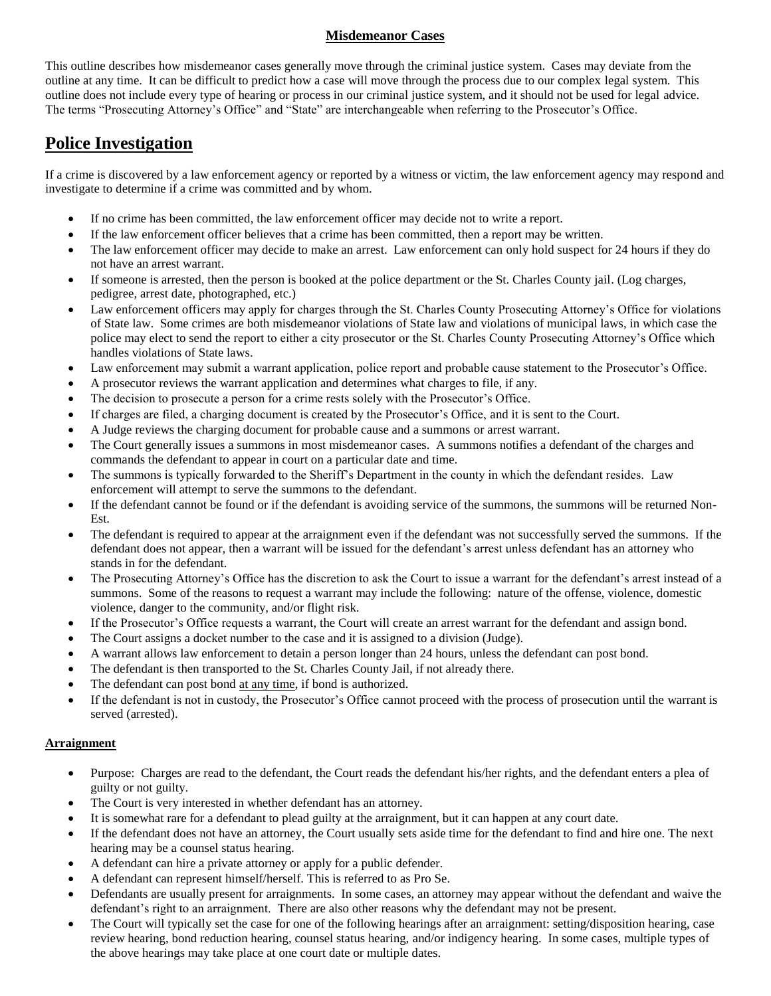## **Misdemeanor Cases**

This outline describes how misdemeanor cases generally move through the criminal justice system. Cases may deviate from the outline at any time. It can be difficult to predict how a case will move through the process due to our complex legal system. This outline does not include every type of hearing or process in our criminal justice system, and it should not be used for legal advice. The terms "Prosecuting Attorney's Office" and "State" are interchangeable when referring to the Prosecutor's Office.

# **Police Investigation**

If a crime is discovered by a law enforcement agency or reported by a witness or victim, the law enforcement agency may respond and investigate to determine if a crime was committed and by whom.

- If no crime has been committed, the law enforcement officer may decide not to write a report.
- If the law enforcement officer believes that a crime has been committed, then a report may be written.
- The law enforcement officer may decide to make an arrest. Law enforcement can only hold suspect for 24 hours if they do not have an arrest warrant.
- If someone is arrested, then the person is booked at the police department or the St. Charles County jail. (Log charges, pedigree, arrest date, photographed, etc.)
- Law enforcement officers may apply for charges through the St. Charles County Prosecuting Attorney's Office for violations of State law. Some crimes are both misdemeanor violations of State law and violations of municipal laws, in which case the police may elect to send the report to either a city prosecutor or the St. Charles County Prosecuting Attorney's Office which handles violations of State laws.
- Law enforcement may submit a warrant application, police report and probable cause statement to the Prosecutor's Office.
- A prosecutor reviews the warrant application and determines what charges to file, if any.
- The decision to prosecute a person for a crime rests solely with the Prosecutor's Office.
- If charges are filed, a charging document is created by the Prosecutor's Office, and it is sent to the Court.
- A Judge reviews the charging document for probable cause and a summons or arrest warrant.
- The Court generally issues a summons in most misdemeanor cases. A summons notifies a defendant of the charges and commands the defendant to appear in court on a particular date and time.
- The summons is typically forwarded to the Sheriff's Department in the county in which the defendant resides. Law enforcement will attempt to serve the summons to the defendant.
- If the defendant cannot be found or if the defendant is avoiding service of the summons, the summons will be returned Non-Est.
- The defendant is required to appear at the arraignment even if the defendant was not successfully served the summons. If the defendant does not appear, then a warrant will be issued for the defendant's arrest unless defendant has an attorney who stands in for the defendant.
- The Prosecuting Attorney's Office has the discretion to ask the Court to issue a warrant for the defendant's arrest instead of a summons. Some of the reasons to request a warrant may include the following: nature of the offense, violence, domestic violence, danger to the community, and/or flight risk.
- If the Prosecutor's Office requests a warrant, the Court will create an arrest warrant for the defendant and assign bond.
- The Court assigns a docket number to the case and it is assigned to a division (Judge).
- A warrant allows law enforcement to detain a person longer than 24 hours, unless the defendant can post bond.
- The defendant is then transported to the St. Charles County Jail, if not already there.
- The defendant can post bond at any time, if bond is authorized.
- If the defendant is not in custody, the Prosecutor's Office cannot proceed with the process of prosecution until the warrant is served (arrested).

#### **Arraignment**

- Purpose: Charges are read to the defendant, the Court reads the defendant his/her rights, and the defendant enters a plea of guilty or not guilty.
- The Court is very interested in whether defendant has an attorney.
- It is somewhat rare for a defendant to plead guilty at the arraignment, but it can happen at any court date.
- If the defendant does not have an attorney, the Court usually sets aside time for the defendant to find and hire one. The next hearing may be a counsel status hearing.
- A defendant can hire a private attorney or apply for a public defender.
- A defendant can represent himself/herself. This is referred to as Pro Se.
- Defendants are usually present for arraignments. In some cases, an attorney may appear without the defendant and waive the defendant's right to an arraignment. There are also other reasons why the defendant may not be present.
- The Court will typically set the case for one of the following hearings after an arraignment: setting/disposition hearing, case review hearing, bond reduction hearing, counsel status hearing, and/or indigency hearing. In some cases, multiple types of the above hearings may take place at one court date or multiple dates.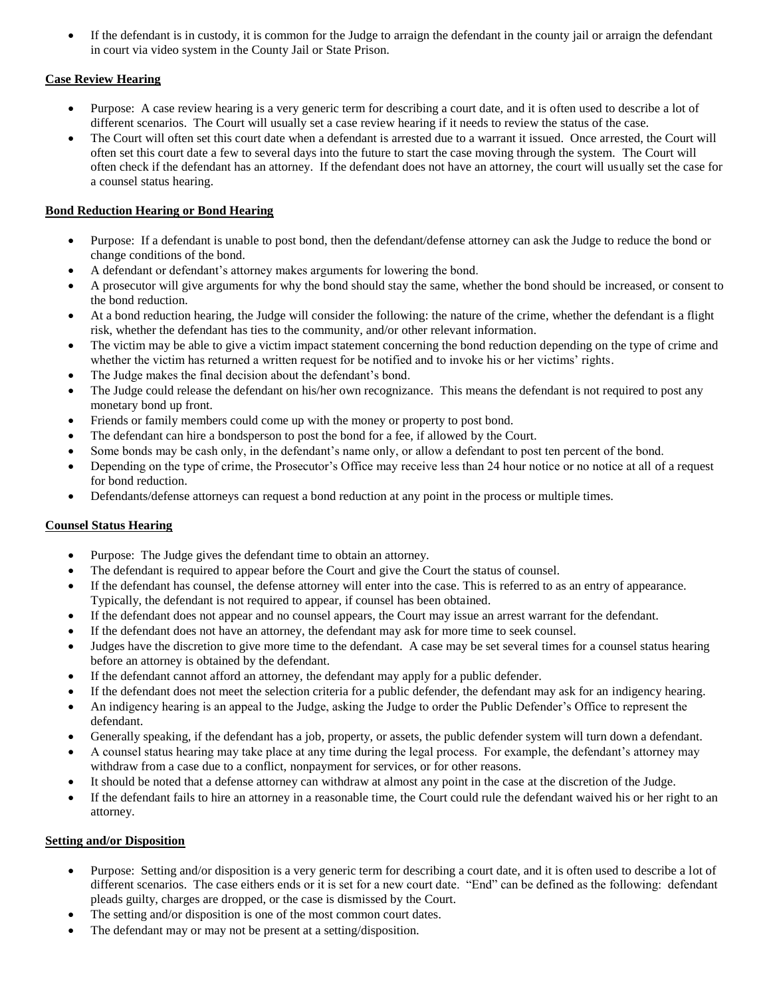If the defendant is in custody, it is common for the Judge to arraign the defendant in the county jail or arraign the defendant in court via video system in the County Jail or State Prison.

### **Case Review Hearing**

- Purpose: A case review hearing is a very generic term for describing a court date, and it is often used to describe a lot of different scenarios. The Court will usually set a case review hearing if it needs to review the status of the case.
- The Court will often set this court date when a defendant is arrested due to a warrant it issued. Once arrested, the Court will often set this court date a few to several days into the future to start the case moving through the system. The Court will often check if the defendant has an attorney. If the defendant does not have an attorney, the court will usually set the case for a counsel status hearing.

## **Bond Reduction Hearing or Bond Hearing**

- Purpose: If a defendant is unable to post bond, then the defendant/defense attorney can ask the Judge to reduce the bond or change conditions of the bond.
- A defendant or defendant's attorney makes arguments for lowering the bond.
- A prosecutor will give arguments for why the bond should stay the same, whether the bond should be increased, or consent to the bond reduction.
- At a bond reduction hearing, the Judge will consider the following: the nature of the crime, whether the defendant is a flight risk, whether the defendant has ties to the community, and/or other relevant information.
- The victim may be able to give a victim impact statement concerning the bond reduction depending on the type of crime and whether the victim has returned a written request for be notified and to invoke his or her victims' rights.
- The Judge makes the final decision about the defendant's bond.
- The Judge could release the defendant on his/her own recognizance. This means the defendant is not required to post any monetary bond up front.
- Friends or family members could come up with the money or property to post bond.
- The defendant can hire a bondsperson to post the bond for a fee, if allowed by the Court.
- Some bonds may be cash only, in the defendant's name only, or allow a defendant to post ten percent of the bond.
- Depending on the type of crime, the Prosecutor's Office may receive less than 24 hour notice or no notice at all of a request for bond reduction.
- Defendants/defense attorneys can request a bond reduction at any point in the process or multiple times.

## **Counsel Status Hearing**

- Purpose: The Judge gives the defendant time to obtain an attorney.
- The defendant is required to appear before the Court and give the Court the status of counsel.
- If the defendant has counsel, the defense attorney will enter into the case. This is referred to as an entry of appearance. Typically, the defendant is not required to appear, if counsel has been obtained.
- If the defendant does not appear and no counsel appears, the Court may issue an arrest warrant for the defendant.
- If the defendant does not have an attorney, the defendant may ask for more time to seek counsel.
- Judges have the discretion to give more time to the defendant. A case may be set several times for a counsel status hearing before an attorney is obtained by the defendant.
- If the defendant cannot afford an attorney, the defendant may apply for a public defender.
- If the defendant does not meet the selection criteria for a public defender, the defendant may ask for an indigency hearing.
- An indigency hearing is an appeal to the Judge, asking the Judge to order the Public Defender's Office to represent the defendant.
- Generally speaking, if the defendant has a job, property, or assets, the public defender system will turn down a defendant.
- A counsel status hearing may take place at any time during the legal process. For example, the defendant's attorney may withdraw from a case due to a conflict, nonpayment for services, or for other reasons.
- It should be noted that a defense attorney can withdraw at almost any point in the case at the discretion of the Judge.
- If the defendant fails to hire an attorney in a reasonable time, the Court could rule the defendant waived his or her right to an attorney.

#### **Setting and/or Disposition**

- Purpose: Setting and/or disposition is a very generic term for describing a court date, and it is often used to describe a lot of different scenarios. The case eithers ends or it is set for a new court date. "End" can be defined as the following: defendant pleads guilty, charges are dropped, or the case is dismissed by the Court.
- The setting and/or disposition is one of the most common court dates.
- The defendant may or may not be present at a setting/disposition.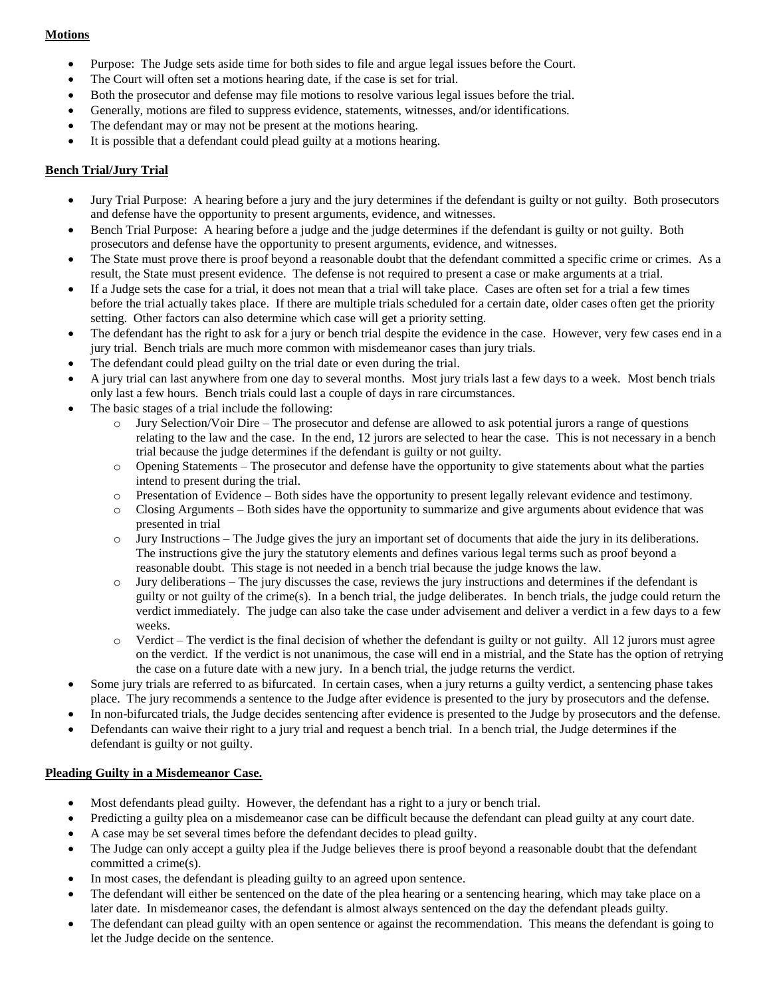## **Motions**

- Purpose: The Judge sets aside time for both sides to file and argue legal issues before the Court.
- The Court will often set a motions hearing date, if the case is set for trial.
- Both the prosecutor and defense may file motions to resolve various legal issues before the trial.
- Generally, motions are filed to suppress evidence, statements, witnesses, and/or identifications.
- The defendant may or may not be present at the motions hearing.
- It is possible that a defendant could plead guilty at a motions hearing.

## **Bench Trial/Jury Trial**

- Jury Trial Purpose: A hearing before a jury and the jury determines if the defendant is guilty or not guilty. Both prosecutors and defense have the opportunity to present arguments, evidence, and witnesses.
- Bench Trial Purpose: A hearing before a judge and the judge determines if the defendant is guilty or not guilty. Both prosecutors and defense have the opportunity to present arguments, evidence, and witnesses.
- The State must prove there is proof beyond a reasonable doubt that the defendant committed a specific crime or crimes. As a result, the State must present evidence. The defense is not required to present a case or make arguments at a trial.
- If a Judge sets the case for a trial, it does not mean that a trial will take place. Cases are often set for a trial a few times before the trial actually takes place. If there are multiple trials scheduled for a certain date, older cases often get the priority setting. Other factors can also determine which case will get a priority setting.
- The defendant has the right to ask for a jury or bench trial despite the evidence in the case. However, very few cases end in a jury trial. Bench trials are much more common with misdemeanor cases than jury trials.
- The defendant could plead guilty on the trial date or even during the trial.
- A jury trial can last anywhere from one day to several months. Most jury trials last a few days to a week. Most bench trials only last a few hours. Bench trials could last a couple of days in rare circumstances.
- The basic stages of a trial include the following:
	- o Jury Selection/Voir Dire The prosecutor and defense are allowed to ask potential jurors a range of questions relating to the law and the case. In the end, 12 jurors are selected to hear the case. This is not necessary in a bench trial because the judge determines if the defendant is guilty or not guilty.
	- o Opening Statements The prosecutor and defense have the opportunity to give statements about what the parties intend to present during the trial.
	- o Presentation of Evidence Both sides have the opportunity to present legally relevant evidence and testimony.
	- o Closing Arguments Both sides have the opportunity to summarize and give arguments about evidence that was presented in trial
	- o Jury Instructions The Judge gives the jury an important set of documents that aide the jury in its deliberations. The instructions give the jury the statutory elements and defines various legal terms such as proof beyond a reasonable doubt. This stage is not needed in a bench trial because the judge knows the law.
	- $\circ$  Jury deliberations The jury discusses the case, reviews the jury instructions and determines if the defendant is guilty or not guilty of the crime(s). In a bench trial, the judge deliberates. In bench trials, the judge could return the verdict immediately. The judge can also take the case under advisement and deliver a verdict in a few days to a few weeks.
	- Verdict The verdict is the final decision of whether the defendant is guilty or not guilty. All 12 jurors must agree on the verdict. If the verdict is not unanimous, the case will end in a mistrial, and the State has the option of retrying the case on a future date with a new jury. In a bench trial, the judge returns the verdict.
- Some jury trials are referred to as bifurcated. In certain cases, when a jury returns a guilty verdict, a sentencing phase takes place. The jury recommends a sentence to the Judge after evidence is presented to the jury by prosecutors and the defense.
- In non-bifurcated trials, the Judge decides sentencing after evidence is presented to the Judge by prosecutors and the defense.
- Defendants can waive their right to a jury trial and request a bench trial. In a bench trial, the Judge determines if the defendant is guilty or not guilty.

#### **Pleading Guilty in a Misdemeanor Case.**

- Most defendants plead guilty. However, the defendant has a right to a jury or bench trial.
- Predicting a guilty plea on a misdemeanor case can be difficult because the defendant can plead guilty at any court date.
- A case may be set several times before the defendant decides to plead guilty.
- The Judge can only accept a guilty plea if the Judge believes there is proof beyond a reasonable doubt that the defendant committed a crime(s).
- In most cases, the defendant is pleading guilty to an agreed upon sentence.
- The defendant will either be sentenced on the date of the plea hearing or a sentencing hearing, which may take place on a later date. In misdemeanor cases, the defendant is almost always sentenced on the day the defendant pleads guilty.
- The defendant can plead guilty with an open sentence or against the recommendation. This means the defendant is going to let the Judge decide on the sentence.